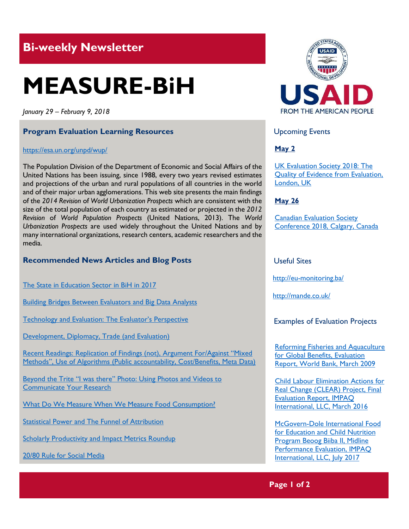## **Bi-weekly Newsletter**

# **MEASURE-BiH**

*January 29 – February 9, 2018*

#### **Program Evaluation Learning Resources**

#### <https://esa.un.org/unpd/wup/>

The Population Division of the Department of Economic and Social Affairs of the United Nations has been issuing, since 1988, every two years revised estimates and projections of the urban and rural populations of all countries in the world and of their major urban agglomerations. This web site presents the main findings of the *2014 Revision* of *World Urbanization Prospects* which are consistent with the size of the total population of each country as estimated or projected in the *2012 Revision* of *World Population Prospects* (United Nations, 2013). The *World Urbanization Prospects* are used widely throughout the United Nations and by many international organizations, research centers, academic researchers and the media.

#### **Recommended News Articles and Blog Posts**

[The State in Education Sector in BiH in 2017](http://eu-monitoring.ba/site/wp-content/uploads/2018/01/Podnesak_Nenad-Velickovic_PDF.pdf) 

[Building Bridges Between Evaluators and Big Data Analysts](http://merltech.org/building-bridges-between-evaluators-and-big-data-analysts/)

Technology and Evalua[tion: The Evaluator's Perspective](https://ieg.worldbankgroup.org/blog/technology-and-evaluation-evaluators-perspective)

[Development, Diplomacy, Trade \(and Evaluation\)](https://ieg.worldbankgroup.org/blog/development-diplomacy-trade-and-evaluation)

[Recent Readings: Replication of Findings \(not\), Argument For/Against "Mixed](http://mande.co.uk/2017/uncategorized/recent-readings-replication-of-findings-not-argument-foragainst-mixed-methods-use-of-algorithms-public-accountability-costbenefits-meta-data/)  [Methods", Use of Algorithms \(Public accountability, Cost/Benef](http://mande.co.uk/2017/uncategorized/recent-readings-replication-of-findings-not-argument-foragainst-mixed-methods-use-of-algorithms-public-accountability-costbenefits-meta-data/)its, Meta Data)

[Beyond the Trite "I was there" Photo: Using Photos and Videos to](https://blogs.worldbank.org/impactevaluations/beyond-trite-i-was-there-photo-using-photos-and-videos-communicate-your-research)  [Communicate Your Research](https://blogs.worldbank.org/impactevaluations/beyond-trite-i-was-there-photo-using-photos-and-videos-communicate-your-research)

[What Do We Measure When We Measure Food Consumption?](https://blogs.worldbank.org/impactevaluations/what-do-we-measure-when-we-measure-food-consumption)

[Statistical Power and The Funnel of Attribution](https://blogs.worldbank.org/impactevaluations/statistical-power-and-funnel-attribution)

[Scholarly Productivity and Impact Metrics Roundup](http://aea365.org/blog/scholarly-productivity-and-impact-metrics-roundup-by-rebecca-reznik-zellen/) 

[20/80 Rule for Social Media](http://aea365.org/blog/2080-rule-for-social-media-by-jayne-corso/) 



Upcoming Events

#### **May 2**

[UK Evaluation Society 2018: The](http://mande.co.uk/conferences/?event_id1=40)  [Quality of Evidence from Evaluation,](http://mande.co.uk/conferences/?event_id1=40)  [London, UK](http://mande.co.uk/conferences/?event_id1=40)

#### **May 26**

[Canadian Evaluation Society](http://mande.co.uk/conferences/?event_id1=38)  [Conference 2018, Calgary, Canada](http://mande.co.uk/conferences/?event_id1=38)

#### Useful Sites

<http://eu-monitoring.ba/>

http://mande.co.uk/

#### Examples of Evaluation Projects

[Reforming Fisheries and Aquaculture](https://openknowledge.worldbank.org/bitstream/handle/10986/16735/831820WP0Refor00Box379886B00PUBLIC0.pdf?sequence=1&isAllowed=y)  [for Global Benefits, Evaluation](https://openknowledge.worldbank.org/bitstream/handle/10986/16735/831820WP0Refor00Box379886B00PUBLIC0.pdf?sequence=1&isAllowed=y)  [Report, World Bank, March 2009](https://openknowledge.worldbank.org/bitstream/handle/10986/16735/831820WP0Refor00Box379886B00PUBLIC0.pdf?sequence=1&isAllowed=y)

[Child Labour Elimination Actions for](http://impaqint.com/sites/default/files/files/CLEAR_FinalEvaluationReport_IMPAQ_toECLT%5B1%5D.pdf)  [Real Change \(CLEAR\) Project, Final](http://impaqint.com/sites/default/files/files/CLEAR_FinalEvaluationReport_IMPAQ_toECLT%5B1%5D.pdf)  [Evaluation Report, IMPAQ](http://impaqint.com/sites/default/files/files/CLEAR_FinalEvaluationReport_IMPAQ_toECLT%5B1%5D.pdf)  [International, LLC, March 2016](http://impaqint.com/sites/default/files/files/CLEAR_FinalEvaluationReport_IMPAQ_toECLT%5B1%5D.pdf)

[McGovern-Dole International Food](http://impaqint.com/sites/default/files/files/BBII%20Midline%20Report%20Final_20170927.pdf)  [for Education and Child Nutrition](http://impaqint.com/sites/default/files/files/BBII%20Midline%20Report%20Final_20170927.pdf)  [Program Beoog Biiba II, Midline](http://impaqint.com/sites/default/files/files/BBII%20Midline%20Report%20Final_20170927.pdf)  [Performance Evaluation, IMPAQ](http://impaqint.com/sites/default/files/files/BBII%20Midline%20Report%20Final_20170927.pdf)  [International, LLC, July 2017](http://impaqint.com/sites/default/files/files/BBII%20Midline%20Report%20Final_20170927.pdf)

#### **Page 1 of 2**